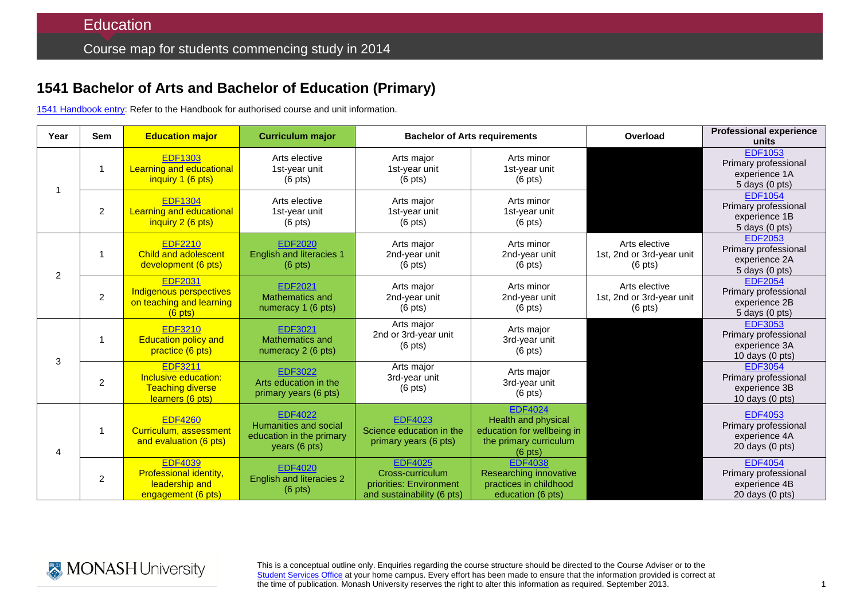## **1541 Bachelor of Arts and Bachelor of Education (Primary)**

[1541 Handbook entry:](http://www.monash.edu.au/pubs/2014handbooks/courses/1541.html) Refer to the Handbook for authorised course and unit information.

| Year           | <b>Sem</b>     | <b>Education major</b>                                                                | <b>Curriculum major</b>                                                              | <b>Bachelor of Arts requirements</b>                                                        |                                                                                                                   | Overload                                                        | <b>Professional experience</b><br>units                                              |
|----------------|----------------|---------------------------------------------------------------------------------------|--------------------------------------------------------------------------------------|---------------------------------------------------------------------------------------------|-------------------------------------------------------------------------------------------------------------------|-----------------------------------------------------------------|--------------------------------------------------------------------------------------|
|                | $\mathbf{1}$   | <b>EDF1303</b><br>Learning and educational<br>inquiry 1 (6 pts)                       | Arts elective<br>1st-year unit<br>$(6 \text{ pts})$                                  | Arts major<br>1st-year unit<br>$(6 \text{ pts})$                                            | Arts minor<br>1st-year unit<br>$(6$ pts)                                                                          |                                                                 | <b>EDF1053</b><br>Primary professional<br>experience 1A<br>5 days (0 pts)            |
|                | $\overline{2}$ | <b>EDF1304</b><br><b>Learning and educational</b><br>inquiry 2 (6 pts)                | Arts elective<br>1st-year unit<br>$(6$ pts)                                          | Arts major<br>1st-year unit<br>$(6 \text{ pts})$                                            | Arts minor<br>1st-year unit<br>$(6$ pts)                                                                          |                                                                 | <b>EDF1054</b><br>Primary professional<br>experience 1B<br>5 days (0 pts)            |
| $\overline{2}$ | $\mathbf 1$    | <b>EDF2210</b><br><b>Child and adolescent</b><br>development (6 pts)                  | <b>EDF2020</b><br><b>English and literacies 1</b><br>$(6 \text{ pts})$               | Arts major<br>2nd-year unit<br>$(6 \text{ pts})$                                            | Arts minor<br>2nd-year unit<br>$(6 \text{ pts})$                                                                  | Arts elective<br>1st, 2nd or 3rd-year unit<br>$(6 \text{ pts})$ | <b>EDF2053</b><br>Primary professional<br>experience 2A<br>5 days (0 pts)            |
|                | $\overline{c}$ | <b>EDF2031</b><br>Indigenous perspectives<br>on teaching and learning<br>$(6$ pts)    | <b>EDF2021</b><br><b>Mathematics and</b><br>numeracy 1 (6 pts)                       | Arts major<br>2nd-year unit<br>$(6 \text{ pts})$                                            | Arts minor<br>2nd-year unit<br>$(6 \text{ pts})$                                                                  | Arts elective<br>1st, 2nd or 3rd-year unit<br>$(6 \text{ pts})$ | <b>EDF2054</b><br>Primary professional<br>experience 2B<br>5 days (0 pts)            |
| 3              | $\mathbf 1$    | <b>EDF3210</b><br><b>Education policy and</b><br>practice (6 pts)                     | <b>EDF3021</b><br>Mathematics and<br>numeracy 2 (6 pts)                              | Arts major<br>2nd or 3rd-year unit<br>$(6 \text{ pts})$                                     | Arts major<br>3rd-year unit<br>$(6 \text{ pts})$                                                                  |                                                                 | <b>EDF3053</b><br>Primary professional<br>experience 3A<br>10 days (0 pts)           |
|                | $\overline{2}$ | <b>EDF3211</b><br>Inclusive education:<br><b>Teaching diverse</b><br>learners (6 pts) | <b>EDF3022</b><br>Arts education in the<br>primary years (6 pts)                     | Arts major<br>3rd-year unit<br>$(6 \text{ pts})$                                            | Arts major<br>3rd-year unit<br>$(6$ pts)                                                                          |                                                                 | <b>EDF3054</b><br>Primary professional<br>experience 3B<br>10 days $(0 \text{ pts})$ |
| $\overline{4}$ | 1              | <b>EDF4260</b><br>Curriculum, assessment<br>and evaluation (6 pts)                    | <b>EDF4022</b><br>Humanities and social<br>education in the primary<br>years (6 pts) | <b>EDF4023</b><br>Science education in the<br>primary years (6 pts)                         | <b>EDF4024</b><br><b>Health and physical</b><br>education for wellbeing in<br>the primary curriculum<br>$(6$ pts) |                                                                 | <b>EDF4053</b><br>Primary professional<br>experience 4A<br>20 days (0 pts)           |
|                | $\overline{c}$ | <b>EDF4039</b><br>Professional identity,<br>leadership and<br>engagement (6 pts)      | <b>EDF4020</b><br><b>English and literacies 2</b><br>$(6 \text{ pts})$               | <b>EDF4025</b><br>Cross-curriculum<br>priorities: Environment<br>and sustainability (6 pts) | <b>EDF4038</b><br>Researching innovative<br>practices in childhood<br>education (6 pts)                           |                                                                 | <b>EDF4054</b><br>Primary professional<br>experience 4B<br>20 days (0 pts)           |



This is a conceptual outline only. Enquiries regarding the course structure should be directed to the Course Adviser or to the [Student Services Office](http://education.monash.edu.au/students/current/admin/student-services-offices.html) at your home campus. Every effort has been made to ensure that the information provided is correct at the time of publication. Monash University reserves the right to alter this information as required. September 2013.